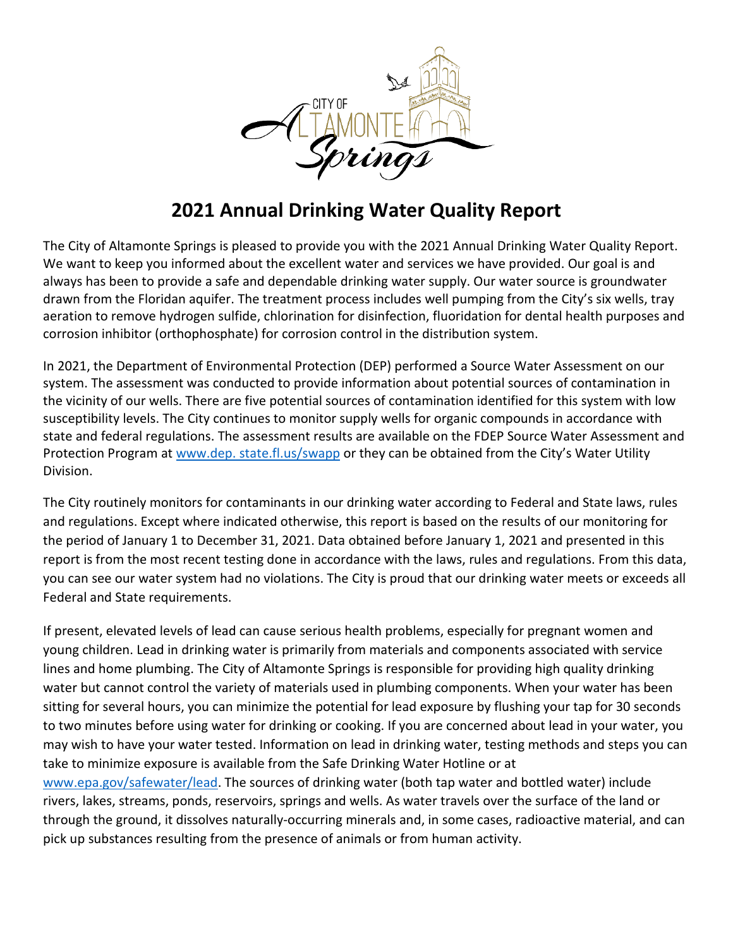

# **2021 Annual Drinking Water Quality Report**

The City of Altamonte Springs is pleased to provide you with the 2021 Annual Drinking Water Quality Report. We want to keep you informed about the excellent water and services we have provided. Our goal is and always has been to provide a safe and dependable drinking water supply. Our water source is groundwater drawn from the Floridan aquifer. The treatment process includes well pumping from the City's six wells, tray aeration to remove hydrogen sulfide, chlorination for disinfection, fluoridation for dental health purposes and corrosion inhibitor (orthophosphate) for corrosion control in the distribution system.

In 2021, the Department of Environmental Protection (DEP) performed a Source Water Assessment on our system. The assessment was conducted to provide information about potential sources of contamination in the vicinity of our wells. There are five potential sources of contamination identified for this system with low susceptibility levels. The City continues to monitor supply wells for organic compounds in accordance with state and federal regulations. The assessment results are available on the FDEP Source Water Assessment and Protection Program at www.dep. state.fl.us/swapp or they can be obtained from the City's Water Utility Division.

The City routinely monitors for contaminants in our drinking water according to Federal and State laws, rules and regulations. Except where indicated otherwise, this report is based on the results of our monitoring for the period of January 1 to December 31, 2021. Data obtained before January 1, 2021 and presented in this report is from the most recent testing done in accordance with the laws, rules and regulations. From this data, you can see our water system had no violations. The City is proud that our drinking water meets or exceeds all Federal and State requirements.

If present, elevated levels of lead can cause serious health problems, especially for pregnant women and young children. Lead in drinking water is primarily from materials and components associated with service lines and home plumbing. The City of Altamonte Springs is responsible for providing high quality drinking water but cannot control the variety of materials used in plumbing components. When your water has been sitting for several hours, you can minimize the potential for lead exposure by flushing your tap for 30 seconds to two minutes before using water for drinking or cooking. If you are concerned about lead in your water, you may wish to have your water tested. Information on lead in drinking water, testing methods and steps you can take to minimize exposure is available from the Safe Drinking Water Hotline or at [www.epa.gov/safewater/lead.](http://www.epa.gov/safewater/lead) The sources of drinking water (both tap water and bottled water) include rivers, lakes, streams, ponds, reservoirs, springs and wells. As water travels over the surface of the land or through the ground, it dissolves naturally-occurring minerals and, in some cases, radioactive material, and can

pick up substances resulting from the presence of animals or from human activity.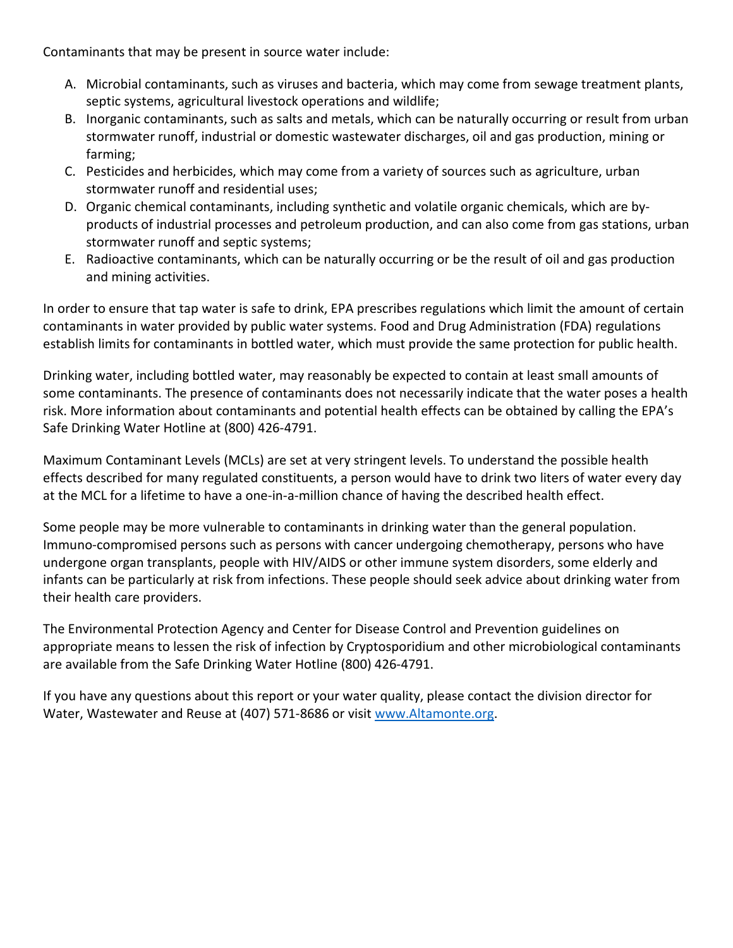Contaminants that may be present in source water include:

- A. Microbial contaminants, such as viruses and bacteria, which may come from sewage treatment plants, septic systems, agricultural livestock operations and wildlife;
- B. Inorganic contaminants, such as salts and metals, which can be naturally occurring or result from urban stormwater runoff, industrial or domestic wastewater discharges, oil and gas production, mining or farming;
- C. Pesticides and herbicides, which may come from a variety of sources such as agriculture, urban stormwater runoff and residential uses;
- D. Organic chemical contaminants, including synthetic and volatile organic chemicals, which are byproducts of industrial processes and petroleum production, and can also come from gas stations, urban stormwater runoff and septic systems;
- E. Radioactive contaminants, which can be naturally occurring or be the result of oil and gas production and mining activities.

In order to ensure that tap water is safe to drink, EPA prescribes regulations which limit the amount of certain contaminants in water provided by public water systems. Food and Drug Administration (FDA) regulations establish limits for contaminants in bottled water, which must provide the same protection for public health.

Drinking water, including bottled water, may reasonably be expected to contain at least small amounts of some contaminants. The presence of contaminants does not necessarily indicate that the water poses a health risk. More information about contaminants and potential health effects can be obtained by calling the EPA's Safe Drinking Water Hotline at (800) 426-4791.

Maximum Contaminant Levels (MCLs) are set at very stringent levels. To understand the possible health effects described for many regulated constituents, a person would have to drink two liters of water every day at the MCL for a lifetime to have a one-in-a-million chance of having the described health effect.

Some people may be more vulnerable to contaminants in drinking water than the general population. Immuno-compromised persons such as persons with cancer undergoing chemotherapy, persons who have undergone organ transplants, people with HIV/AIDS or other immune system disorders, some elderly and infants can be particularly at risk from infections. These people should seek advice about drinking water from their health care providers.

The Environmental Protection Agency and Center for Disease Control and Prevention guidelines on appropriate means to lessen the risk of infection by Cryptosporidium and other microbiological contaminants are available from the Safe Drinking Water Hotline (800) 426-4791.

If you have any questions about this report or your water quality, please contact the division director for Water, Wastewater and Reuse at (407) 571-8686 or visit [www.Altamonte.org.](http://www.altamonte.org/)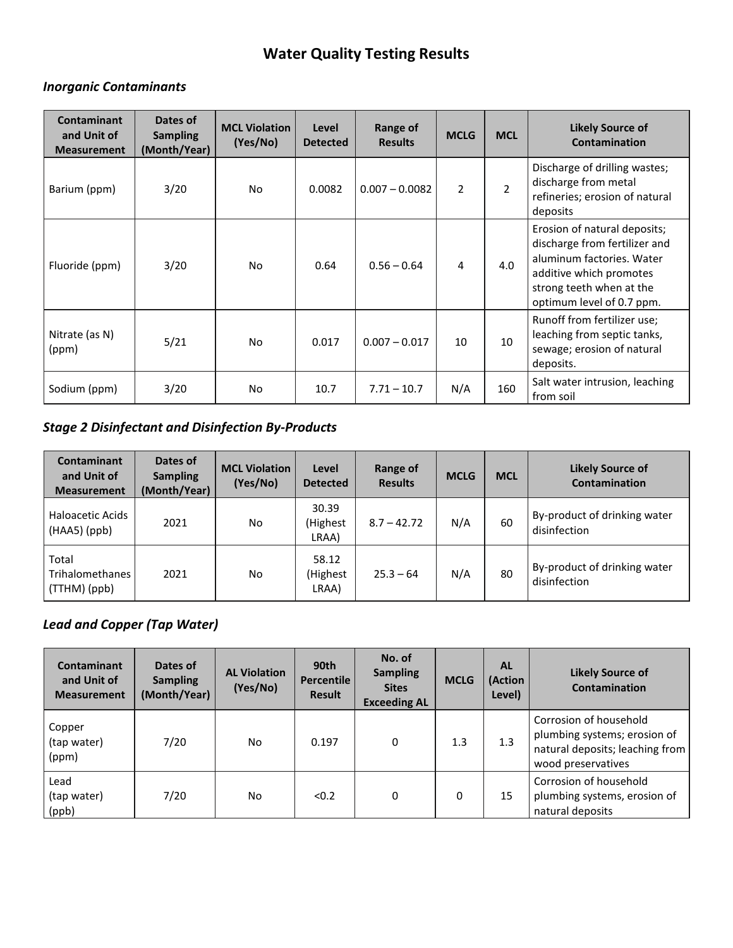# **Water Quality Testing Results**

#### *Inorganic Contaminants*

| <b>Contaminant</b><br>and Unit of<br><b>Measurement</b> | Dates of<br><b>Sampling</b><br>(Month/Year) | <b>MCL Violation</b><br>(Yes/No) | Level<br><b>Detected</b> | Range of<br><b>Results</b> | <b>MCLG</b>    | <b>MCL</b>     | <b>Likely Source of</b><br><b>Contamination</b>                                                                                                                                |
|---------------------------------------------------------|---------------------------------------------|----------------------------------|--------------------------|----------------------------|----------------|----------------|--------------------------------------------------------------------------------------------------------------------------------------------------------------------------------|
| Barium (ppm)                                            | 3/20                                        | No.                              | 0.0082                   | $0.007 - 0.0082$           | $\overline{2}$ | $\overline{2}$ | Discharge of drilling wastes;<br>discharge from metal<br>refineries; erosion of natural<br>deposits                                                                            |
| Fluoride (ppm)                                          | 3/20                                        | No                               | 0.64                     | $0.56 - 0.64$              | 4              | 4.0            | Erosion of natural deposits;<br>discharge from fertilizer and<br>aluminum factories. Water<br>additive which promotes<br>strong teeth when at the<br>optimum level of 0.7 ppm. |
| Nitrate (as N)<br>(ppm)                                 | 5/21                                        | No                               | 0.017                    | $0.007 - 0.017$            | 10             | 10             | Runoff from fertilizer use;<br>leaching from septic tanks,<br>sewage; erosion of natural<br>deposits.                                                                          |
| Sodium (ppm)                                            | 3/20                                        | No.                              | 10.7                     | $7.71 - 10.7$              | N/A            | 160            | Salt water intrusion, leaching<br>from soil                                                                                                                                    |

## *Stage 2 Disinfectant and Disinfection By-Products*

| Contaminant<br>and Unit of<br><b>Measurement</b> | Dates of<br><b>Sampling</b><br>(Month/Year) | <b>MCL Violation</b><br>(Yes/No) | Level<br><b>Detected</b>   | Range of<br><b>Results</b> | <b>MCLG</b> | <b>MCL</b> | <b>Likely Source of</b><br>Contamination     |
|--------------------------------------------------|---------------------------------------------|----------------------------------|----------------------------|----------------------------|-------------|------------|----------------------------------------------|
| Haloacetic Acids<br>$(HAA5)$ (ppb)               | 2021                                        | No                               | 30.39<br>(Highest<br>LRAA) | $8.7 - 42.72$              | N/A         | 60         | By-product of drinking water<br>disinfection |
| Total<br>Trihalomethanes<br>(TTHM) (ppb)         | 2021                                        | No                               | 58.12<br>(Highest<br>LRAA) | $25.3 - 64$                | N/A         | 80         | By-product of drinking water<br>disinfection |

## *Lead and Copper (Tap Water)*

| Contaminant<br>and Unit of<br><b>Measurement</b> | Dates of<br><b>Sampling</b><br>(Month/Year) | <b>AL Violation</b><br>(Yes/No) | 90th<br><b>Percentile</b><br><b>Result</b> | No. of<br><b>Sampling</b><br><b>Sites</b><br><b>Exceeding AL</b> | <b>MCLG</b> | <b>AL</b><br>(Action<br>Level) | <b>Likely Source of</b><br><b>Contamination</b>                                                                 |
|--------------------------------------------------|---------------------------------------------|---------------------------------|--------------------------------------------|------------------------------------------------------------------|-------------|--------------------------------|-----------------------------------------------------------------------------------------------------------------|
| Copper<br>(tap water)<br>(ppm)                   | 7/20                                        | No                              | 0.197                                      | 0                                                                | 1.3         | 1.3                            | Corrosion of household<br>plumbing systems; erosion of<br>natural deposits; leaching from<br>wood preservatives |
| Lead<br>(tap water)<br>(ppb)                     | 7/20                                        | No                              | < 0.2                                      | 0                                                                | 0           | 15                             | Corrosion of household<br>plumbing systems, erosion of<br>natural deposits                                      |